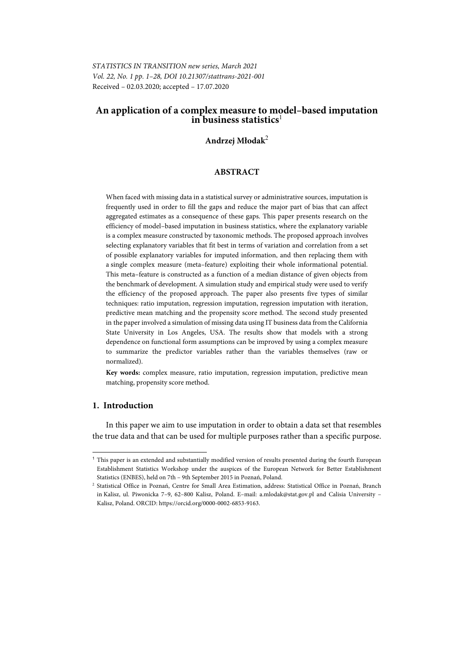*STATISTICS IN TRANSITION new series, March 2021 Vol. 22, No. 1 pp. 1–28, DOI 10.21307/stattrans-2021-001*  Received – 02.03.2020; accepted – 17.07.2020

# **An application of a complex measure to model–based imputation in business statistics**<sup>1</sup>

# **Andrzej Młodak**<sup>2</sup>

## **ABSTRACT**

When faced with missing data in a statistical survey or administrative sources, imputation is frequently used in order to fill the gaps and reduce the major part of bias that can affect aggregated estimates as a consequence of these gaps. This paper presents research on the efficiency of model–based imputation in business statistics, where the explanatory variable is a complex measure constructed by taxonomic methods. The proposed approach involves selecting explanatory variables that fit best in terms of variation and correlation from a set of possible explanatory variables for imputed information, and then replacing them with a single complex measure (meta–feature) exploiting their whole informational potential. This meta–feature is constructed as a function of a median distance of given objects from the benchmark of development. A simulation study and empirical study were used to verify the efficiency of the proposed approach. The paper also presents five types of similar techniques: ratio imputation, regression imputation, regression imputation with iteration, predictive mean matching and the propensity score method. The second study presented in the paper involved a simulation of missing data using IT business data from the California State University in Los Angeles, USA. The results show that models with a strong dependence on functional form assumptions can be improved by using a complex measure to summarize the predictor variables rather than the variables themselves (raw or normalized).

**Key words:** complex measure, ratio imputation, regression imputation, predictive mean matching, propensity score method.

# **1. Introduction**

l

In this paper we aim to use imputation in order to obtain a data set that resembles the true data and that can be used for multiple purposes rather than a specific purpose.

<sup>&</sup>lt;sup>1</sup> This paper is an extended and substantially modified version of results presented during the fourth European Establishment Statistics Workshop under the auspices of the European Network for Better Establishment

Statistics (ENBES), held on 7th – 9th September 2015 in Poznań, Poland.  $^2$ Statistical Office in Poznań, Branch $^2$ Statistical Office in Poznań, Branch in Kalisz, ul. Piwonicka 7–9, 62–800 Kalisz, Poland. E–mail: a.mlodak@stat.gov.pl and Calisia University – Kalisz, Poland. ORCID: https://orcid.org/0000-0002-6853-9163.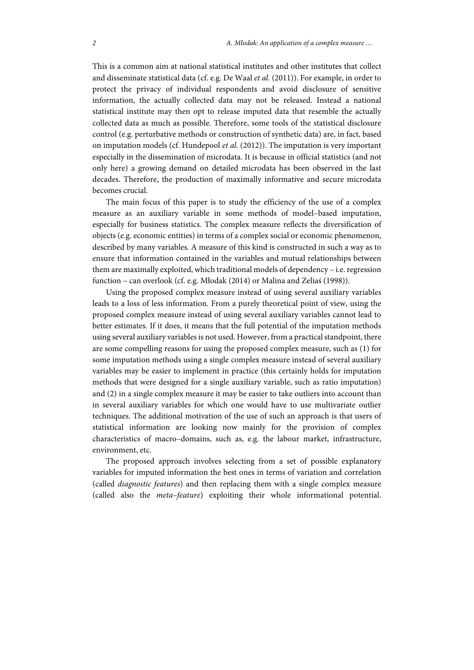This is a common aim at national statistical institutes and other institutes that collect and disseminate statistical data (cf. e.g. De Waal *et al.* (2011)). For example, in order to protect the privacy of individual respondents and avoid disclosure of sensitive information, the actually collected data may not be released. Instead a national statistical institute may then opt to release imputed data that resemble the actually collected data as much as possible. Therefore, some tools of the statistical disclosure control (e.g. perturbative methods or construction of synthetic data) are, in fact, based on imputation models (cf. Hundepool *et al.* (2012)). The imputation is very important especially in the dissemination of microdata. It is because in official statistics (and not only here) a growing demand on detailed microdata has been observed in the last decades. Therefore, the production of maximally informative and secure microdata becomes crucial.

The main focus of this paper is to study the efficiency of the use of a complex measure as an auxiliary variable in some methods of model–based imputation, especially for business statistics. The complex measure reflects the diversification of objects (e.g. economic entities) in terms of a complex social or economic phenomenon, described by many variables. A measure of this kind is constructed in such a way as to ensure that information contained in the variables and mutual relationships between them are maximally exploited, which traditional models of dependency – i.e. regression function – can overlook (cf. e.g. Młodak (2014) or Malina and Zeliaś (1998)).

Using the proposed complex measure instead of using several auxiliary variables leads to a loss of less information. From a purely theoretical point of view, using the proposed complex measure instead of using several auxiliary variables cannot lead to better estimates. If it does, it means that the full potential of the imputation methods using several auxiliary variables is not used. However, from a practical standpoint, there are some compelling reasons for using the proposed complex measure, such as (1) for some imputation methods using a single complex measure instead of several auxiliary variables may be easier to implement in practice (this certainly holds for imputation methods that were designed for a single auxiliary variable, such as ratio imputation) and (2) in a single complex measure it may be easier to take outliers into account than in several auxiliary variables for which one would have to use multivariate outlier techniques. The additional motivation of the use of such an approach is that users of statistical information are looking now mainly for the provision of complex characteristics of macro–domains, such as, e.g. the labour market, infrastructure, environment, etc.

The proposed approach involves selecting from a set of possible explanatory variables for imputed information the best ones in terms of variation and correlation (called *diagnostic features*) and then replacing them with a single complex measure (called also the *meta–feature*) exploiting their whole informational potential.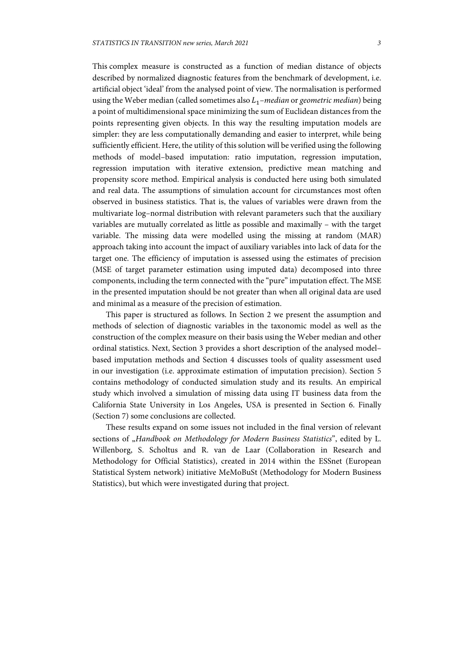This complex measure is constructed as a function of median distance of objects described by normalized diagnostic features from the benchmark of development, i.e. artificial object 'ideal' from the analysed point of view. The normalisation is performed using the Weber median (called sometimes also  $L_1$ –median or geometric median) being a point of multidimensional space minimizing the sum of Euclidean distances from the points representing given objects. In this way the resulting imputation models are simpler: they are less computationally demanding and easier to interpret, while being sufficiently efficient. Here, the utility of this solution will be verified using the following methods of model–based imputation: ratio imputation, regression imputation, regression imputation with iterative extension, predictive mean matching and propensity score method. Empirical analysis is conducted here using both simulated and real data. The assumptions of simulation account for circumstances most often observed in business statistics. That is, the values of variables were drawn from the multivariate log–normal distribution with relevant parameters such that the auxiliary variables are mutually correlated as little as possible and maximally – with the target variable. The missing data were modelled using the missing at random (MAR) approach taking into account the impact of auxiliary variables into lack of data for the target one. The efficiency of imputation is assessed using the estimates of precision (MSE of target parameter estimation using imputed data) decomposed into three components, including the term connected with the "pure" imputation effect. The MSE in the presented imputation should be not greater than when all original data are used and minimal as a measure of the precision of estimation.

This paper is structured as follows. In Section 2 we present the assumption and methods of selection of diagnostic variables in the taxonomic model as well as the construction of the complex measure on their basis using the Weber median and other ordinal statistics. Next, Section 3 provides a short description of the analysed model– based imputation methods and Section 4 discusses tools of quality assessment used in our investigation (i.e. approximate estimation of imputation precision). Section 5 contains methodology of conducted simulation study and its results. An empirical study which involved a simulation of missing data using IT business data from the California State University in Los Angeles, USA is presented in Section 6. Finally (Section 7) some conclusions are collected.

These results expand on some issues not included in the final version of relevant sections of "Handbook on Methodology for Modern Business Statistics", edited by L. Willenborg, S. Scholtus and R. van de Laar (Collaboration in Research and Methodology for Official Statistics), created in 2014 within the ESSnet (European Statistical System network) initiative MeMoBuSt (Methodology for Modern Business Statistics), but which were investigated during that project.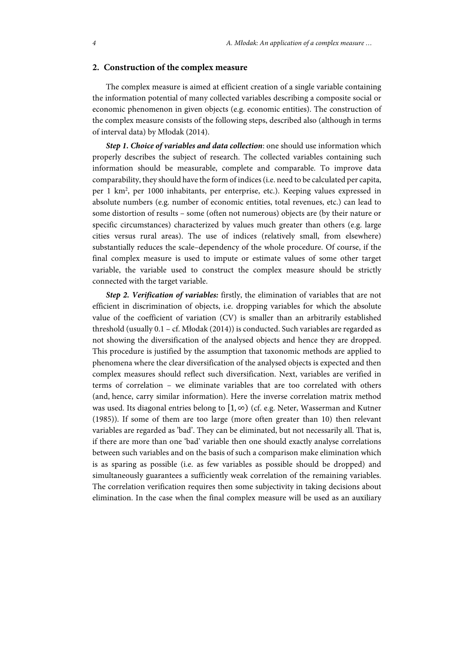## **2. Construction of the complex measure**

The complex measure is aimed at efficient creation of a single variable containing the information potential of many collected variables describing a composite social or economic phenomenon in given objects (e.g. economic entities). The construction of the complex measure consists of the following steps, described also (although in terms of interval data) by Młodak (2014).

*Step 1. Choice of variables and data collection*: one should use information which properly describes the subject of research. The collected variables containing such information should be measurable, complete and comparable. To improve data comparability, they should have the form of indices (i.e. need to be calculated per capita, per 1 km2 , per 1000 inhabitants, per enterprise, etc.). Keeping values expressed in absolute numbers (e.g. number of economic entities, total revenues, etc.) can lead to some distortion of results – some (often not numerous) objects are (by their nature or specific circumstances) characterized by values much greater than others (e.g. large cities versus rural areas). The use of indices (relatively small, from elsewhere) substantially reduces the scale–dependency of the whole procedure. Of course, if the final complex measure is used to impute or estimate values of some other target variable, the variable used to construct the complex measure should be strictly connected with the target variable.

*Step 2. Verification of variables:* firstly, the elimination of variables that are not efficient in discrimination of objects, i.e. dropping variables for which the absolute value of the coefficient of variation (CV) is smaller than an arbitrarily established threshold (usually 0.1 – cf. Młodak (2014)) is conducted. Such variables are regarded as not showing the diversification of the analysed objects and hence they are dropped. This procedure is justified by the assumption that taxonomic methods are applied to phenomena where the clear diversification of the analysed objects is expected and then complex measures should reflect such diversification. Next, variables are verified in terms of correlation – we eliminate variables that are too correlated with others (and, hence, carry similar information). Here the inverse correlation matrix method was used. Its diagonal entries belong to  $[1, \infty)$  (cf. e.g. Neter, Wasserman and Kutner (1985)). If some of them are too large (more often greater than 10) then relevant variables are regarded as 'bad'. They can be eliminated, but not necessarily all. That is, if there are more than one 'bad' variable then one should exactly analyse correlations between such variables and on the basis of such a comparison make elimination which is as sparing as possible (i.e. as few variables as possible should be dropped) and simultaneously guarantees a sufficiently weak correlation of the remaining variables. The correlation verification requires then some subjectivity in taking decisions about elimination. In the case when the final complex measure will be used as an auxiliary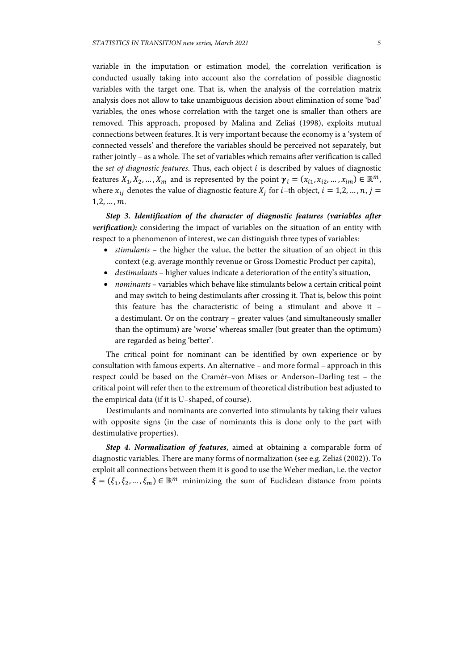variable in the imputation or estimation model, the correlation verification is conducted usually taking into account also the correlation of possible diagnostic variables with the target one. That is, when the analysis of the correlation matrix analysis does not allow to take unambiguous decision about elimination of some 'bad' variables, the ones whose correlation with the target one is smaller than others are removed. This approach, proposed by Malina and Zeliaś (1998), exploits mutual connections between features. It is very important because the economy is a 'system of connected vessels' and therefore the variables should be perceived not separately, but rather jointly – as a whole. The set of variables which remains after verification is called the *set of diagnostic features*. Thus, each object is described by values of diagnostic features  $X_1, X_2, ..., X_m$  and is represented by the point  $\gamma_i = (x_{i1}, x_{i2}, ..., x_{im}) \in \mathbb{R}^m$ , where  $x_{ij}$  denotes the value of diagnostic feature  $X_i$  for *i*-th object,  $i = 1,2,..., n, j =$  $1, 2, ..., m$ .

*Step 3. Identification of the character of diagnostic features (variables after verification):* considering the impact of variables on the situation of an entity with respect to a phenomenon of interest, we can distinguish three types of variables:

- *stimulants* the higher the value, the better the situation of an object in this context (e.g. average monthly revenue or Gross Domestic Product per capita),
- *destimulants* higher values indicate a deterioration of the entity's situation,
- *nominants* variables which behave like stimulants below a certain critical point and may switch to being destimulants after crossing it. That is, below this point this feature has the characteristic of being a stimulant and above it – a destimulant. Or on the contrary – greater values (and simultaneously smaller than the optimum) are 'worse' whereas smaller (but greater than the optimum) are regarded as being 'better'.

The critical point for nominant can be identified by own experience or by consultation with famous experts. An alternative – and more formal – approach in this respect could be based on the Cramér–von Mises or Anderson–Darling test – the critical point will refer then to the extremum of theoretical distribution best adjusted to the empirical data (if it is U–shaped, of course).

Destimulants and nominants are converted into stimulants by taking their values with opposite signs (in the case of nominants this is done only to the part with destimulative properties).

*Step 4. Normalization of features*, aimed at obtaining a comparable form of diagnostic variables. There are many forms of normalization (see e.g. Zeliaś (2002)). To exploit all connections between them it is good to use the Weber median, i.e. the vector  $\xi = (\xi_1, \xi_2, ..., \xi_m) \in \mathbb{R}^m$  minimizing the sum of Euclidean distance from points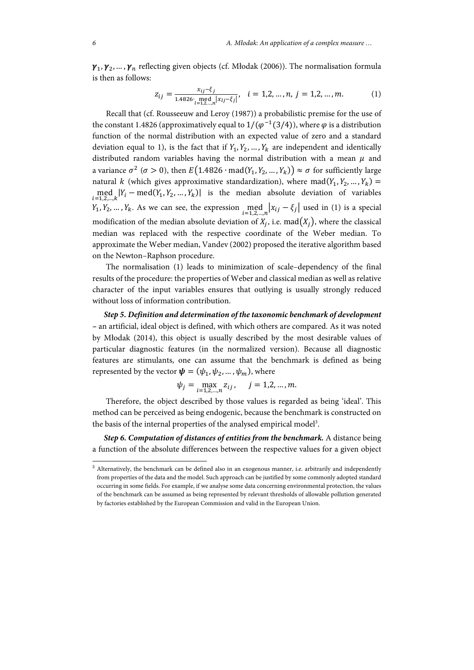$\gamma_1, \gamma_2, ..., \gamma_n$  reflecting given objects (cf. Młodak (2006)). The normalisation formula is then as follows:

$$
z_{ij} = \frac{x_{ij} - \xi_j}{1.4826 \cdot \text{med}_{l=1,2,\dots,n} |x_{lj} - \xi_j|}, \quad i = 1,2,\dots,n, \ j = 1,2,\dots,m. \tag{1}
$$

Recall that (cf. Rousseeuw and Leroy (1987)) a probabilistic premise for the use of the constant 1.4826 (approximatively equal to  $1/(\varphi^{-1}(3/4))$ , where  $\varphi$  is a distribution function of the normal distribution with an expected value of zero and a standard deviation equal to 1), is the fact that if  $Y_1, Y_2, ..., Y_k$  are independent and identically distributed random variables having the normal distribution with a mean  $\mu$  and a variance  $\sigma^2$  ( $\sigma > 0$ ), then  $E(1.4826 \cdot \text{mad}(Y_1, Y_2, ..., Y_k)) \approx \sigma$  for sufficiently large natural *k* (which gives approximative standardization), where mad( $Y_1, Y_2, ..., Y_k$ ) =  $\text{med}_{i=1,2,...,k} | Y_i - \text{med}(Y_1, Y_2, ..., Y_k) |$  is the median absolute deviation of variables  $Y_1, Y_2, ..., Y_k$ . As we can see, the expression  $\text{med}_{i=1,2,...,n} |x_{ij} - \xi_j|$  used in (1) is a special modification of the median absolute deviation of  $X_i$ , i.e. mad $(X_i)$ , where the classical median was replaced with the respective coordinate of the Weber median. To approximate the Weber median, Vandev (2002) proposed the iterative algorithm based on the Newton–Raphson procedure.

The normalisation (1) leads to minimization of scale–dependency of the final results of the procedure: the properties of Weber and classical median as well as relative character of the input variables ensures that outlying is usually strongly reduced without loss of information contribution.

*Step 5. Definition and determination of the taxonomic benchmark of development* **–** an artificial, ideal object is defined, with which others are compared. As it was noted by Młodak (2014), this object is usually described by the most desirable values of particular diagnostic features (in the normalized version). Because all diagnostic features are stimulants, one can assume that the benchmark is defined as being represented by the vector  $\boldsymbol{\psi} = (\psi_1, \psi_2, ..., \psi_m)$ , where

$$
\psi_j = \max_{i=1,2,...,n} z_{ij}, \quad j = 1,2,...,m.
$$

Therefore, the object described by those values is regarded as being 'ideal'. This method can be perceived as being endogenic, because the benchmark is constructed on the basis of the internal properties of the analysed empirical model<sup>3</sup>.

*Step 6. Computation of distances of entities from the benchmark.* A distance being a function of the absolute differences between the respective values for a given object

 3 Alternatively, the benchmark can be defined also in an exogenous manner, i.e. arbitrarily and independently from properties of the data and the model. Such approach can be justified by some commonly adopted standard occurring in some fields. For example, if we analyse some data concerning environmental protection, the values of the benchmark can be assumed as being represented by relevant thresholds of allowable pollution generated by factories established by the European Commission and valid in the European Union.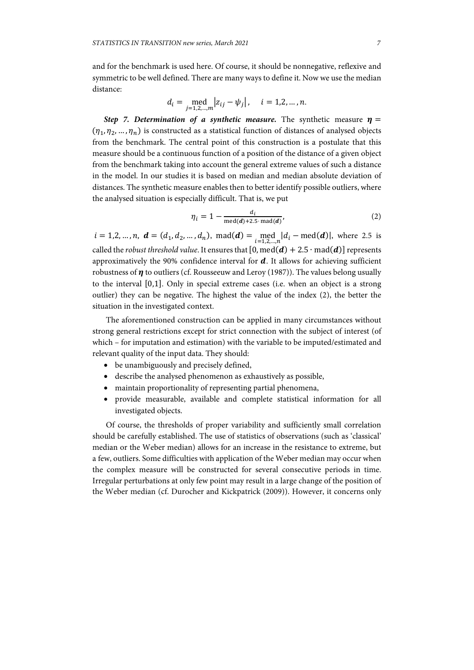and for the benchmark is used here. Of course, it should be nonnegative, reflexive and symmetric to be well defined. There are many ways to define it. Now we use the median distance:

$$
d_i = \text{med}_{j=1,2,...,m} |z_{ij} - \psi_j|, \quad i = 1,2,...,n.
$$

*Step 7. Determination of a synthetic measure.* The synthetic measure  $\eta$  =  $(\eta_1, \eta_2, ..., \eta_n)$  is constructed as a statistical function of distances of analysed objects from the benchmark. The central point of this construction is a postulate that this measure should be a continuous function of a position of the distance of a given object from the benchmark taking into account the general extreme values of such a distance in the model. In our studies it is based on median and median absolute deviation of distances. The synthetic measure enables then to better identify possible outliers, where the analysed situation is especially difficult. That is, we put

$$
\eta_i = 1 - \frac{d_i}{\text{med}(d) + 2.5 \cdot \text{mad}(d)},\tag{2}
$$

 $i = 1,2,...,n$ ,  $\mathbf{d} = (d_1, d_2,...,d_n)$ , mad $(\mathbf{d}) = \text{med}_{i=1,2,...,n} |d_i - \text{med}(\mathbf{d})|$ , where 2.5 is called the *robust threshold value*. It ensures that  $[0, med(d) + 2.5 \cdot mad(d)]$  represents approximatively the 90% confidence interval for  $d$ . It allows for achieving sufficient robustness of  $\eta$  to outliers (cf. Rousseeuw and Leroy (1987)). The values belong usually to the interval  $[0,1]$ . Only in special extreme cases (i.e. when an object is a strong outlier) they can be negative. The highest the value of the index (2), the better the situation in the investigated context.

The aforementioned construction can be applied in many circumstances without strong general restrictions except for strict connection with the subject of interest (of which – for imputation and estimation) with the variable to be imputed/estimated and relevant quality of the input data. They should:

- be unambiguously and precisely defined,
- describe the analysed phenomenon as exhaustively as possible,
- maintain proportionality of representing partial phenomena,
- provide measurable, available and complete statistical information for all investigated objects.

Of course, the thresholds of proper variability and sufficiently small correlation should be carefully established. The use of statistics of observations (such as 'classical' median or the Weber median) allows for an increase in the resistance to extreme, but a few, outliers. Some difficulties with application of the Weber median may occur when the complex measure will be constructed for several consecutive periods in time. Irregular perturbations at only few point may result in a large change of the position of the Weber median (cf. Durocher and Kickpatrick (2009)). However, it concerns only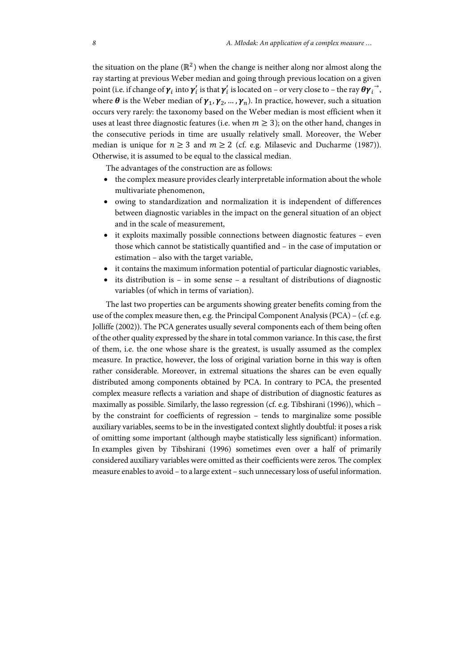the situation on the plane ( $\mathbb{R}^2$ ) when the change is neither along nor almost along the ray starting at previous Weber median and going through previous location on a given point (i.e. if change of  $\pmb{\gamma}_i$  into  $\pmb{\gamma}_i'$  is that  $\pmb{\gamma}_i'$  is located on – or very close to – the ray  $\pmb{\theta} \pmb{\gamma}_i^{\rightarrow}$ , where  $\theta$  is the Weber median of  $\gamma_1, \gamma_2, ..., \gamma_n$ ). In practice, however, such a situation occurs very rarely: the taxonomy based on the Weber median is most efficient when it uses at least three diagnostic features (i.e. when  $m \geq 3$ ); on the other hand, changes in the consecutive periods in time are usually relatively small. Moreover, the Weber median is unique for  $n \geq 3$  and  $m \geq 2$  (cf. e.g. Milasevic and Ducharme (1987)). Otherwise, it is assumed to be equal to the classical median.

The advantages of the construction are as follows:

- the complex measure provides clearly interpretable information about the whole multivariate phenomenon,
- owing to standardization and normalization it is independent of differences between diagnostic variables in the impact on the general situation of an object and in the scale of measurement,
- it exploits maximally possible connections between diagnostic features even those which cannot be statistically quantified and – in the case of imputation or estimation – also with the target variable,
- it contains the maximum information potential of particular diagnostic variables,
- $\bullet$  its distribution is in some sense a resultant of distributions of diagnostic variables (of which in terms of variation).

The last two properties can be arguments showing greater benefits coming from the use of the complex measure then, e.g. the Principal Component Analysis (PCA) – (cf. e.g. Jolliffe (2002)). The PCA generates usually several components each of them being often of the other quality expressed by the share in total common variance. In this case, the first of them, i.e. the one whose share is the greatest, is usually assumed as the complex measure. In practice, however, the loss of original variation borne in this way is often rather considerable. Moreover, in extremal situations the shares can be even equally distributed among components obtained by PCA. In contrary to PCA, the presented complex measure reflects a variation and shape of distribution of diagnostic features as maximally as possible. Similarly, the lasso regression (cf. e.g. Tibshirani (1996)), which – by the constraint for coefficients of regression – tends to marginalize some possible auxiliary variables, seems to be in the investigated context slightly doubtful: it poses a risk of omitting some important (although maybe statistically less significant) information. In examples given by Tibshirani (1996) sometimes even over a half of primarily considered auxiliary variables were omitted as their coefficients were zeros. The complex measure enables to avoid – to a large extent – such unnecessary loss of useful information.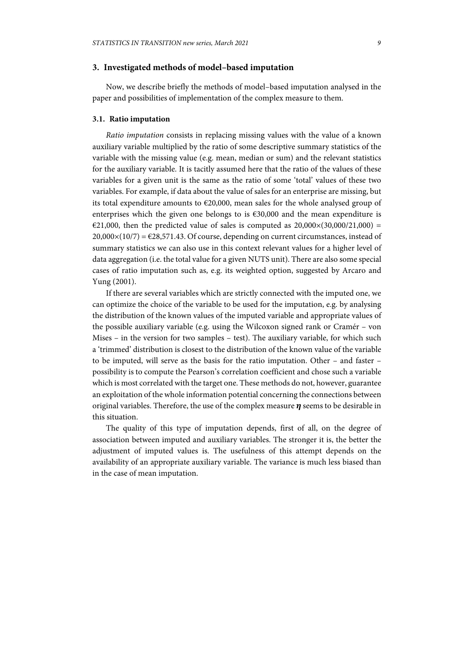## **3. Investigated methods of model–based imputation**

Now, we describe briefly the methods of model–based imputation analysed in the paper and possibilities of implementation of the complex measure to them.

### **3.1. Ratio imputation**

*Ratio imputation* consists in replacing missing values with the value of a known auxiliary variable multiplied by the ratio of some descriptive summary statistics of the variable with the missing value (e.g. mean, median or sum) and the relevant statistics for the auxiliary variable. It is tacitly assumed here that the ratio of the values of these variables for a given unit is the same as the ratio of some 'total' values of these two variables. For example, if data about the value of sales for an enterprise are missing, but its total expenditure amounts to  $\epsilon$ 20,000, mean sales for the whole analysed group of enterprises which the given one belongs to is  $\epsilon$ 30,000 and the mean expenditure is  $€21,000$ , then the predicted value of sales is computed as  $20,000\times(30,000/21,000)$  =  $20,000\times(10/7) = \text{\textsterling}28,571.43$ . Of course, depending on current circumstances, instead of summary statistics we can also use in this context relevant values for a higher level of data aggregation (i.e. the total value for a given NUTS unit). There are also some special cases of ratio imputation such as, e.g. its weighted option, suggested by Arcaro and Yung (2001).

If there are several variables which are strictly connected with the imputed one, we can optimize the choice of the variable to be used for the imputation, e.g. by analysing the distribution of the known values of the imputed variable and appropriate values of the possible auxiliary variable (e.g. using the Wilcoxon signed rank or Cramér – von Mises – in the version for two samples – test). The auxiliary variable, for which such a 'trimmed' distribution is closest to the distribution of the known value of the variable to be imputed, will serve as the basis for the ratio imputation. Other – and faster – possibility is to compute the Pearson's correlation coefficient and chose such a variable which is most correlated with the target one. These methods do not, however, guarantee an exploitation of the whole information potential concerning the connections between original variables. Therefore, the use of the complex measure  $\eta$  seems to be desirable in this situation.

The quality of this type of imputation depends, first of all, on the degree of association between imputed and auxiliary variables. The stronger it is, the better the adjustment of imputed values is. The usefulness of this attempt depends on the availability of an appropriate auxiliary variable. The variance is much less biased than in the case of mean imputation.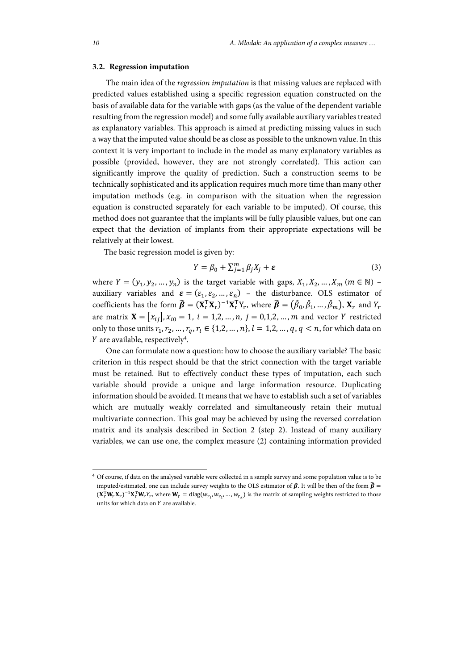#### **3.2. Regression imputation**

The main idea of the *regression imputation* is that missing values are replaced with predicted values established using a specific regression equation constructed on the basis of available data for the variable with gaps (as the value of the dependent variable resulting from the regression model) and some fully available auxiliary variables treated as explanatory variables. This approach is aimed at predicting missing values in such a way that the imputed value should be as close as possible to the unknown value. In this context it is very important to include in the model as many explanatory variables as possible (provided, however, they are not strongly correlated). This action can significantly improve the quality of prediction. Such a construction seems to be technically sophisticated and its application requires much more time than many other imputation methods (e.g. in comparison with the situation when the regression equation is constructed separately for each variable to be imputed). Of course, this method does not guarantee that the implants will be fully plausible values, but one can expect that the deviation of implants from their appropriate expectations will be relatively at their lowest.

The basic regression model is given by:

$$
Y = \beta_0 + \sum_{j=1}^{m} \beta_j X_j + \varepsilon \tag{3}
$$

where  $Y = (y_1, y_2, ..., y_n)$  is the target variable with gaps,  $X_1, X_2, ..., X_m$  ( $m \in \mathbb{N}$ ) – auxiliary variables and  $\boldsymbol{\varepsilon} = (\varepsilon_1, \varepsilon_2, ..., \varepsilon_n)$  – the disturbance. OLS estimator of coefficients has the form  $\widehat{\boldsymbol{\beta}} = (\mathbf{X}_r^T \mathbf{X}_r)^{-1} \mathbf{X}_r^T Y_r$ , where  $\widehat{\boldsymbol{\beta}} = (\widehat{\beta}_0, \widehat{\beta}_1, ..., \widehat{\beta}_m)$ ,  $\mathbf{X}_r$  and  $Y_r$ are matrix  $X = [x_{ij}], x_{i0} = 1, i = 1,2,...,n, j = 0,1,2,...,m$  and vector Y restricted only to those units  $r_1, r_2, ..., r_q, r_l \in \{1, 2, ..., n\}, l = 1, 2, ..., q, q < n$ , for which data on Y are available, respectively<sup>4</sup>.

One can formulate now a question: how to choose the auxiliary variable? The basic criterion in this respect should be that the strict connection with the target variable must be retained. But to effectively conduct these types of imputation, each such variable should provide a unique and large information resource. Duplicating information should be avoided. It means that we have to establish such a set of variables which are mutually weakly correlated and simultaneously retain their mutual multivariate connection. This goal may be achieved by using the reversed correlation matrix and its analysis described in Section 2 (step 2). Instead of many auxiliary variables, we can use one, the complex measure (2) containing information provided

l

<sup>4</sup> Of course, if data on the analysed variable were collected in a sample survey and some population value is to be imputed/estimated, one can include survey weights to the OLS estimator of  $\beta$ . It will be then of the form  $\hat{\beta}$  =  $(\mathbf{X}_r^{\mathrm{T}} \mathbf{W}_r \mathbf{X}_r)^{-1} \mathbf{X}_r^{\mathrm{T}} \mathbf{W}_r Y_r$ , where  $\mathbf{W}_r = \text{diag}(w_{r_1}, w_{r_2}, ..., w_{r_k})$  is the matrix of sampling weights restricted to those units for which data on  $Y$  are available.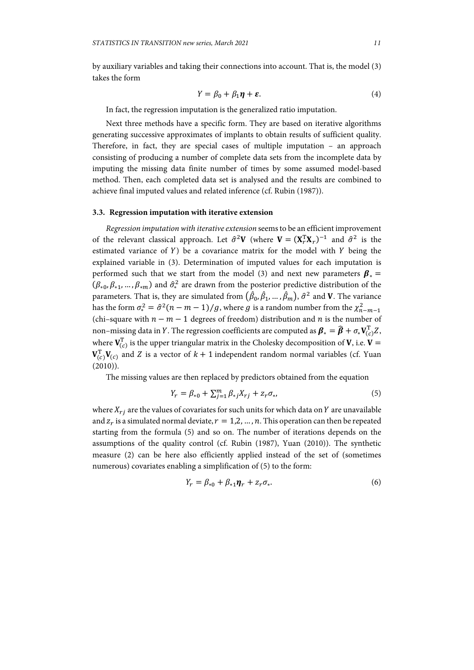by auxiliary variables and taking their connections into account. That is, the model (3) takes the form

$$
Y = \beta_0 + \beta_1 \eta + \varepsilon. \tag{4}
$$

In fact, the regression imputation is the generalized ratio imputation.

Next three methods have a specific form. They are based on iterative algorithms generating successive approximates of implants to obtain results of sufficient quality. Therefore, in fact, they are special cases of multiple imputation – an approach consisting of producing a number of complete data sets from the incomplete data by imputing the missing data finite number of times by some assumed model-based method. Then, each completed data set is analysed and the results are combined to achieve final imputed values and related inference (cf. Rubin (1987)).

#### **3.3. Regression imputation with iterative extension**

*Regression imputation with iterative extension* seems to be an efficient improvement of the relevant classical approach. Let  $\hat{\sigma}^2 V$  (where  $V = (X_r^T X_r)^{-1}$  and  $\hat{\sigma}^2$  is the estimated variance of  $Y$ ) be a covariance matrix for the model with  $Y$  being the explained variable in (3). Determination of imputed values for each imputation is performed such that we start from the model (3) and next new parameters  $\beta_* =$  $(\beta_{*0}, \beta_{*1}, ..., \beta_{*m})$  and  $\hat{\sigma}^2_*$  are drawn from the posterior predictive distribution of the parameters. That is, they are simulated from  $(\hat{\beta}_0, \hat{\beta}_1, ..., \hat{\beta}_m),$   $\hat{\sigma}^2$  and  ${\bf V}$ . The variance has the form  $\sigma_*^2 = \hat{\sigma}^2 (n - m - 1) / g$ , where  $g$  is a random number from the  $\chi^2_{n-m-1}$ (chi–square with  $n - m - 1$  degrees of freedom) distribution and  $n$  is the number of non–missing data in Y. The regression coefficients are computed as  $\bm{\beta}_* = \widehat{\bm{\beta}} + \sigma_* \mathbf{V}_{(c)}^{\mathrm{T}}Z$ , where  $\textbf{V}_{(c)}^\text{T}$  is the upper triangular matrix in the Cholesky decomposition of  $\textbf{V}$ , i.e.  $\textbf{V}=$  $\mathbf{V}_{(c)}^{\mathrm{T}} \mathbf{V}_{(c)}$  and Z is a vector of  $k+1$  independent random normal variables (cf. Yuan  $(2010)$ ).

The missing values are then replaced by predictors obtained from the equation

$$
Y_r = \beta_{*0} + \sum_{j=1}^{m} \beta_{*j} X_{rj} + z_r \sigma_*,
$$
 (5)

where  $X_{ri}$  are the values of covariates for such units for which data on Y are unavailable and  $z_r$  is a simulated normal deviate,  $r = 1, 2, ..., n$ . This operation can then be repeated starting from the formula (5) and so on. The number of iterations depends on the assumptions of the quality control (cf. Rubin (1987), Yuan (2010)). The synthetic measure (2) can be here also efficiently applied instead of the set of (sometimes numerous) covariates enabling a simplification of (5) to the form:

$$
Y_r = \beta_{*0} + \beta_{*1} \eta_r + z_r \sigma_*.
$$
 (6)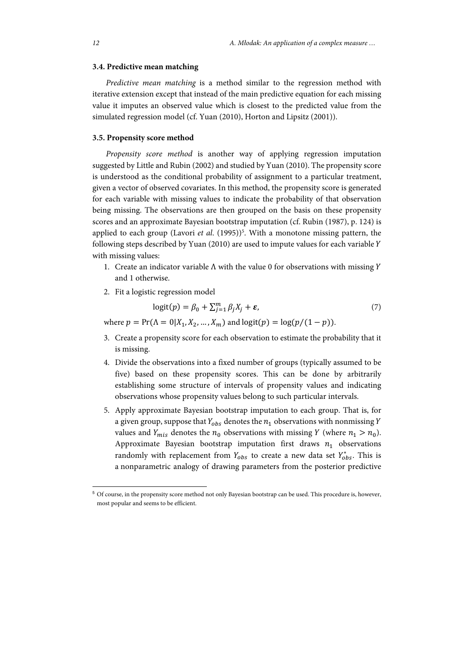#### **3.4. Predictive mean matching**

*Predictive mean matching* is a method similar to the regression method with iterative extension except that instead of the main predictive equation for each missing value it imputes an observed value which is closest to the predicted value from the simulated regression model (cf. Yuan (2010), Horton and Lipsitz (2001)).

#### **3.5. Propensity score method**

*Propensity score method* is another way of applying regression imputation suggested by Little and Rubin (2002) and studied by Yuan (2010). The propensity score is understood as the conditional probability of assignment to a particular treatment, given a vector of observed covariates. In this method, the propensity score is generated for each variable with missing values to indicate the probability of that observation being missing. The observations are then grouped on the basis on these propensity scores and an approximate Bayesian bootstrap imputation (cf. Rubin (1987), p. 124) is applied to each group (Lavori et al. (1995))<sup>5</sup>. With a monotone missing pattern, the following steps described by Yuan (2010) are used to impute values for each variable with missing values:

- 1. Create an indicator variable  $\Lambda$  with the value 0 for observations with missing Y and 1 otherwise.
- 2. Fit a logistic regression model

$$
logit(p) = \beta_0 + \sum_{j=1}^{m} \beta_j X_j + \varepsilon,
$$
\n(7)

where  $p = Pr(\Lambda = 0|X_1, X_2, ..., X_m)$  and logit $(p) = log(p/(1-p)).$ 

- 3. Create a propensity score for each observation to estimate the probability that it is missing.
- 4. Divide the observations into a fixed number of groups (typically assumed to be five) based on these propensity scores. This can be done by arbitrarily establishing some structure of intervals of propensity values and indicating observations whose propensity values belong to such particular intervals.
- 5. Apply approximate Bayesian bootstrap imputation to each group. That is, for a given group, suppose that  $Y_{obs}$  denotes the  $n_1$  observations with nonmissing Y values and  $Y_{mis}$  denotes the  $n_0$  observations with missing Y (where  $n_1 > n_0$ ). Approximate Bayesian bootstrap imputation first draws  $n_1$  observations randomly with replacement from  $Y_{obs}$  to create a new data set  $Y^*_{obs}$ . This is a nonparametric analogy of drawing parameters from the posterior predictive

l

<sup>5</sup> Of course, in the propensity score method not only Bayesian bootstrap can be used. This procedure is, however, most popular and seems to be efficient.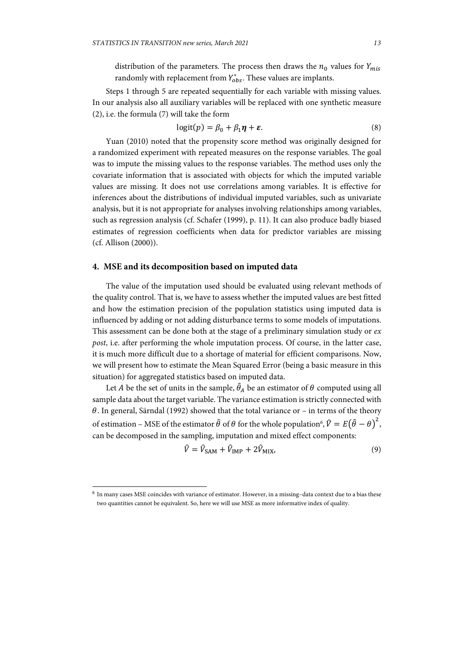distribution of the parameters. The process then draws the  $n_0$  values for  $Y_{mis}$ randomly with replacement from  $Y_{obs}^*$ . These values are implants.

Steps 1 through 5 are repeated sequentially for each variable with missing values. In our analysis also all auxiliary variables will be replaced with one synthetic measure (2), i.e. the formula (7) will take the form

$$
logit(p) = \beta_0 + \beta_1 \eta + \varepsilon. \tag{8}
$$

Yuan (2010) noted that the propensity score method was originally designed for a randomized experiment with repeated measures on the response variables. The goal was to impute the missing values to the response variables. The method uses only the covariate information that is associated with objects for which the imputed variable values are missing. It does not use correlations among variables. It is effective for inferences about the distributions of individual imputed variables, such as univariate analysis, but it is not appropriate for analyses involving relationships among variables, such as regression analysis (cf. Schafer (1999), p. 11). It can also produce badly biased estimates of regression coefficients when data for predictor variables are missing (cf. Allison (2000)).

# **4. MSE and its decomposition based on imputed data**

The value of the imputation used should be evaluated using relevant methods of the quality control. That is, we have to assess whether the imputed values are best fitted and how the estimation precision of the population statistics using imputed data is influenced by adding or not adding disturbance terms to some models of imputations. This assessment can be done both at the stage of a preliminary simulation study or *ex post*, i.e. after performing the whole imputation process. Of course, in the latter case, it is much more difficult due to a shortage of material for efficient comparisons. Now, we will present how to estimate the Mean Squared Error (being a basic measure in this situation) for aggregated statistics based on imputed data.

Let A be the set of units in the sample,  $\widehat{\theta}_A$  be an estimator of  $\theta$  computed using all sample data about the target variable. The variance estimation is strictly connected with  $\theta$ . In general, Särndal (1992) showed that the total variance or – in terms of the theory of estimation – MSE of the estimator  $\hat{\theta}$  of  $\theta$  for the whole population<sup>6</sup>,  $\hat{V} = E(\hat{\theta} - \theta)^2$ , can be decomposed in the sampling, imputation and mixed effect components:

$$
\hat{V} = \hat{V}_{\text{SAM}} + \hat{V}_{\text{IMP}} + 2\hat{V}_{\text{MIX}},\tag{9}
$$

l

<sup>6</sup> In many cases MSE coincides with variance of estimator. However, in a missing–data context due to a bias these two quantities cannot be equivalent. So, here we will use MSE as more informative index of quality.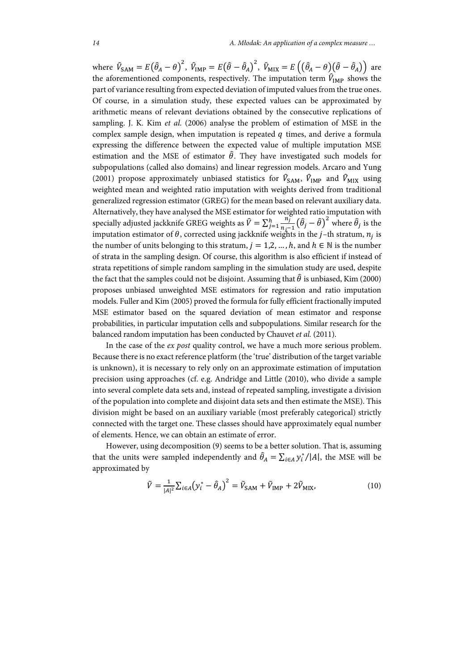where  $\hat{V}_{SAM} = E(\hat{\theta}_A - \theta)^2$ ,  $\hat{V}_{IMP} = E(\hat{\theta} - \hat{\theta}_A)^2$ ,  $\hat{V}_{MIX} = E((\hat{\theta}_A - \theta)(\hat{\theta} - \hat{\theta}_A))$  are the aforementioned components, respectively. The imputation term  $\hat{V}_{\text{IMP}}$  shows the part of variance resulting from expected deviation of imputed values from the true ones. Of course, in a simulation study, these expected values can be approximated by arithmetic means of relevant deviations obtained by the consecutive replications of sampling. J. K. Kim *et al.* (2006) analyse the problem of estimation of MSE in the complex sample design, when imputation is repeated  $q$  times, and derive a formula expressing the difference between the expected value of multiple imputation MSE estimation and the MSE of estimator  $\hat{\theta}$ . They have investigated such models for subpopulations (called also domains) and linear regression models. Arcaro and Yung (2001) propose approximately unbiased statistics for  $\hat{V}_{SAM}$ ,  $\hat{V}_{IMP}$  and  $\hat{V}_{MIX}$  using weighted mean and weighted ratio imputation with weights derived from traditional generalized regression estimator (GREG) for the mean based on relevant auxiliary data. Alternatively, they have analysed the MSE estimator for weighted ratio imputation with specially adjusted jackknife GREG weights as  $\hat{V} = \sum_{j=1}^{h} \frac{n_j^{\nu}}{n_i-1} (\hat{\theta}_j - \hat{\theta})^2$  where  $\hat{\theta}_j$  is the imputation estimator of  $\theta$ , corrected using jackknife weights in the j–th stratum,  $n_j$  is the number of units belonging to this stratum,  $j = 1, 2, ..., h$ , and  $h \in \mathbb{N}$  is the number of strata in the sampling design. Of course, this algorithm is also efficient if instead of strata repetitions of simple random sampling in the simulation study are used, despite the fact that the samples could not be disjoint. Assuming that  $\hat{\theta}$  is unbiased, Kim (2000) proposes unbiased unweighted MSE estimators for regression and ratio imputation models. Fuller and Kim (2005) proved the formula for fully efficient fractionally imputed MSE estimator based on the squared deviation of mean estimator and response probabilities, in particular imputation cells and subpopulations. Similar research for the balanced random imputation has been conducted by Chauvet *et al.* (2011).

In the case of the *ex post* quality control, we have a much more serious problem. Because there is no exact reference platform (the 'true' distribution of the target variable is unknown), it is necessary to rely only on an approximate estimation of imputation precision using approaches (cf. e.g. Andridge and Little (2010), who divide a sample into several complete data sets and, instead of repeated sampling, investigate a division of the population into complete and disjoint data sets and then estimate the MSE). This division might be based on an auxiliary variable (most preferably categorical) strictly connected with the target one. These classes should have approximately equal number of elements. Hence, we can obtain an estimate of error.

However, using decomposition (9) seems to be a better solution. That is, assuming that the units were sampled independently and  $\hat{\theta}_A = \sum_{i \in A} y_i^* / |A|$ , the MSE will be approximated by

$$
\tilde{V} = \frac{1}{|A|^2} \sum_{i \in A} \left( y_i^* - \hat{\theta}_A \right)^2 = \tilde{V}_{\text{SAM}} + \tilde{V}_{\text{IMP}} + 2\tilde{V}_{\text{MIX}},\tag{10}
$$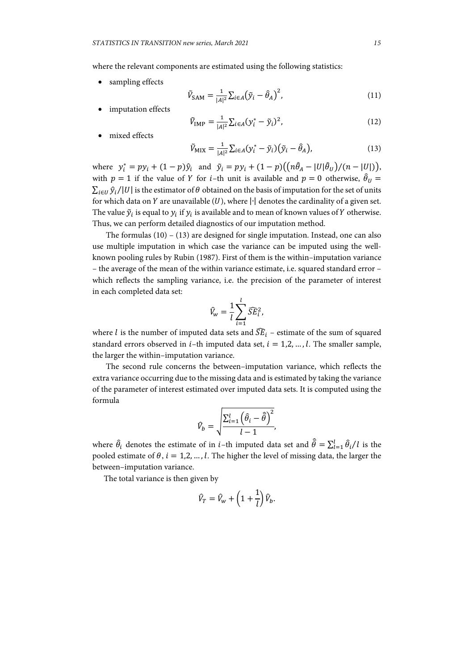where the relevant components are estimated using the following statistics:

sampling effects

$$
\tilde{V}_{\text{SAM}} = \frac{1}{|A|^2} \sum_{i \in A} (\tilde{y}_i - \hat{\theta}_A)^2, \tag{11}
$$

imputation effects

$$
\tilde{V}_{\text{IMP}} = \frac{1}{|A|^2} \sum_{i \in A} (y_i^* - \tilde{y}_i)^2,\tag{12}
$$

mixed effects

$$
\tilde{V}_{\text{MIX}} = \frac{1}{|A|^2} \sum_{i \in A} (y_i^* - \tilde{y}_i) (\tilde{y}_i - \hat{\theta}_A), \tag{13}
$$

where  $y_i^* = py_i + (1-p)\hat{y}_i$  and  $\tilde{y}_i = py_i + (1-p)(\left(n\hat{\theta}_A - |U|\hat{\theta}_U\right)/(n-|U|)),$ with  $p = 1$  if the value of Y for *i*-th unit is available and  $p = 0$  otherwise,  $\hat{\theta}_U =$  $\sum_{i\in I} \hat{y}_i/|U|$  is the estimator of  $\theta$  obtained on the basis of imputation for the set of units for which data on  $Y$  are unavailable (U), where  $|\cdot|$  denotes the cardinality of a given set. The value  $\tilde{y}_i$  is equal to  $y_i$  if  $y_i$  is available and to mean of known values of Y otherwise. Thus, we can perform detailed diagnostics of our imputation method.

The formulas  $(10) - (13)$  are designed for single imputation. Instead, one can also use multiple imputation in which case the variance can be imputed using the wellknown pooling rules by Rubin (1987). First of them is the within–imputation variance – the average of the mean of the within variance estimate, i.e. squared standard error – which reflects the sampling variance, i.e. the precision of the parameter of interest in each completed data set:

$$
\widehat{V}_w = \frac{1}{l} \sum_{i=1}^l \widehat{SE}_i^2,
$$

where *l* is the number of imputed data sets and  $\widehat{SE}_i$  – estimate of the sum of squared standard errors observed in  $i$ -th imputed data set,  $i = 1, 2, ..., l$ . The smaller sample, the larger the within–imputation variance.

The second rule concerns the between–imputation variance, which reflects the extra variance occurring due to the missing data and is estimated by taking the variance of the parameter of interest estimated over imputed data sets. It is computed using the formula

$$
\widehat{V}_b = \sqrt{\frac{\sum_{i=1}^l (\widehat{\theta}_i - \widehat{\overline{\theta}})^2}{l - 1}},
$$

where  $\hat{\theta}_i$  denotes the estimate of in *i*-th imputed data set and  $\hat{\bar{\theta}} = \sum_{l=1}^{l} \hat{\theta}_i / l$  is the pooled estimate of  $\theta$ ,  $i = 1, 2, ..., l$ . The higher the level of missing data, the larger the between–imputation variance.

The total variance is then given by

$$
\hat{V}_T = \hat{V}_w + \left(1 + \frac{1}{l}\right)\hat{V}_b.
$$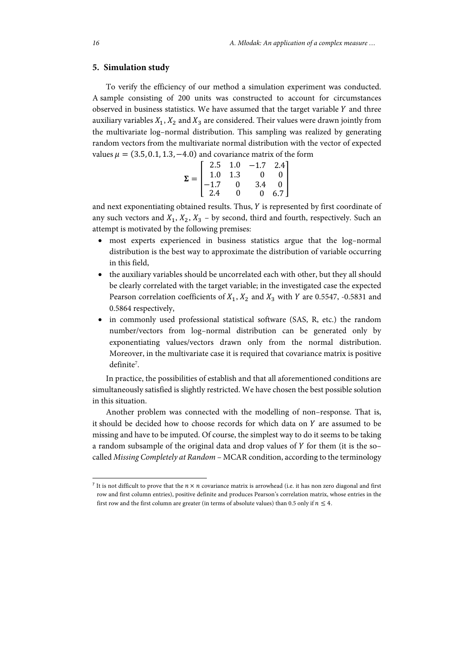## **5. Simulation study**

To verify the efficiency of our method a simulation experiment was conducted. A sample consisting of 200 units was constructed to account for circumstances observed in business statistics. We have assumed that the target variable  $Y$  and three auxiliary variables  $X_1, X_2$  and  $X_3$  are considered. Their values were drawn jointly from the multivariate log–normal distribution. This sampling was realized by generating random vectors from the multivariate normal distribution with the vector of expected values  $\mu = (3.5, 0.1, 1.3, -4.0)$  and covariance matrix of the form

$$
\Sigma = \begin{bmatrix} 2.5 & 1.0 & -1.7 & 2.4 \\ 1.0 & 1.3 & 0 & 0 \\ -1.7 & 0 & 3.4 & 0 \\ 2.4 & 0 & 0 & 6.7 \end{bmatrix}
$$

and next exponentiating obtained results. Thus,  $Y$  is represented by first coordinate of any such vectors and  $X_1, X_2, X_3$  – by second, third and fourth, respectively. Such an attempt is motivated by the following premises:

- most experts experienced in business statistics argue that the log–normal distribution is the best way to approximate the distribution of variable occurring in this field,
- the auxiliary variables should be uncorrelated each with other, but they all should be clearly correlated with the target variable; in the investigated case the expected Pearson correlation coefficients of  $X_1$ ,  $X_2$  and  $X_3$  with Y are 0.5547, -0.5831 and 0.5864 respectively,
- in commonly used professional statistical software (SAS, R, etc.) the random number/vectors from log–normal distribution can be generated only by exponentiating values/vectors drawn only from the normal distribution. Moreover, in the multivariate case it is required that covariance matrix is positive definite<sup>7</sup>.

In practice, the possibilities of establish and that all aforementioned conditions are simultaneously satisfied is slightly restricted. We have chosen the best possible solution in this situation.

Another problem was connected with the modelling of non–response. That is, it should be decided how to choose records for which data on  $Y$  are assumed to be missing and have to be imputed. Of course, the simplest way to do it seems to be taking a random subsample of the original data and drop values of  $Y$  for them (it is the socalled *Missing Completely at Random* – MCAR condition, according to the terminology

l

<sup>&</sup>lt;sup>7</sup> It is not difficult to prove that the  $n \times n$  covariance matrix is arrowhead (i.e. it has non zero diagonal and first row and first column entries), positive definite and produces Pearson's correlation matrix, whose entries in the first row and the first column are greater (in terms of absolute values) than 0.5 only if  $n \leq 4$ .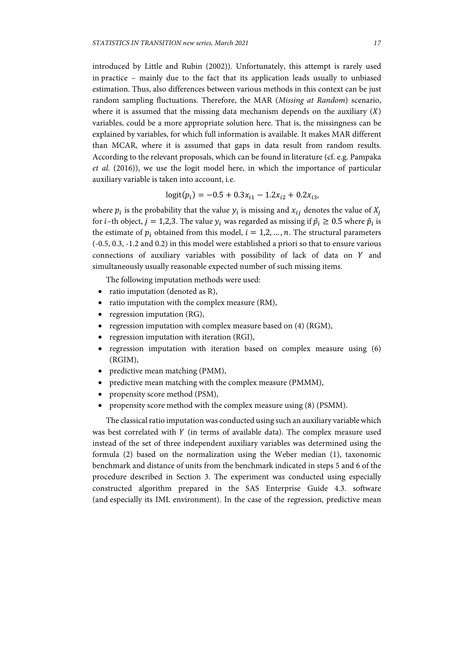introduced by Little and Rubin (2002)). Unfortunately, this attempt is rarely used in practice – mainly due to the fact that its application leads usually to unbiased estimation. Thus, also differences between various methods in this context can be just random sampling fluctuations. Therefore, the MAR (*Missing at Random*) scenario, where it is assumed that the missing data mechanism depends on the auxiliary  $(X)$ variables, could be a more appropriate solution here. That is, the missingness can be explained by variables, for which full information is available. It makes MAR different than MCAR, where it is assumed that gaps in data result from random results. According to the relevant proposals, which can be found in literature (cf. e.g. Pampaka *et al.* (2016)), we use the logit model here, in which the importance of particular auxiliary variable is taken into account, i.e.

$$
logit(p_i) = -0.5 + 0.3x_{i1} - 1.2x_{i2} + 0.2x_{i3},
$$

where  $p_i$  is the probability that the value  $y_i$  is missing and  $x_{ij}$  denotes the value of  $X_i$ for *i*–th object,  $j = 1,2,3$ . The value  $y_i$  was regarded as missing if  $\hat{p}_i \ge 0.5$  where  $\hat{p}_i$  is the estimate of  $p_i$  obtained from this model,  $i = 1, 2, ..., n$ . The structural parameters (-0.5, 0.3, -1.2 and 0.2) in this model were established a priori so that to ensure various connections of auxiliary variables with possibility of lack of data on  $Y$  and simultaneously usually reasonable expected number of such missing items.

The following imputation methods were used:

- ratio imputation (denoted as R),
- ratio imputation with the complex measure (RM),
- regression imputation  $(RG)$ ,
- regression imputation with complex measure based on (4) (RGM),
- regression imputation with iteration (RGI),
- regression imputation with iteration based on complex measure using (6) (RGIM),
- predictive mean matching (PMM),
- predictive mean matching with the complex measure (PMMM),
- propensity score method (PSM),
- propensity score method with the complex measure using (8) (PSMM).

The classical ratio imputation was conducted using such an auxiliary variable which was best correlated with  $Y$  (in terms of available data). The complex measure used instead of the set of three independent auxiliary variables was determined using the formula (2) based on the normalization using the Weber median (1), taxonomic benchmark and distance of units from the benchmark indicated in steps 5 and 6 of the procedure described in Section 3. The experiment was conducted using especially constructed algorithm prepared in the SAS Enterprise Guide 4.3. software (and especially its IML environment). In the case of the regression, predictive mean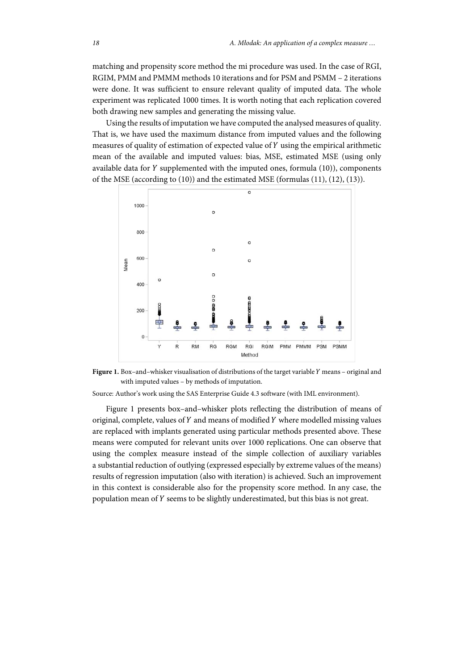matching and propensity score method the mi procedure was used. In the case of RGI, RGIM, PMM and PMMM methods 10 iterations and for PSM and PSMM – 2 iterations were done. It was sufficient to ensure relevant quality of imputed data. The whole experiment was replicated 1000 times. It is worth noting that each replication covered both drawing new samples and generating the missing value.

Using the results of imputation we have computed the analysed measures of quality. That is, we have used the maximum distance from imputed values and the following measures of quality of estimation of expected value of  $Y$  using the empirical arithmetic mean of the available and imputed values: bias, MSE, estimated MSE (using only available data for  $Y$  supplemented with the imputed ones, formula  $(10)$ ), components of the MSE (according to (10)) and the estimated MSE (formulas (11), (12), (13)).



Figure 1. Box-and-whisker visualisation of distributions of the target variable Y means - original and with imputed values – by methods of imputation.

Source: Author's work using the SAS Enterprise Guide 4.3 software (with IML environment).

Figure 1 presents box–and–whisker plots reflecting the distribution of means of original, complete, values of  $Y$  and means of modified  $Y$  where modelled missing values are replaced with implants generated using particular methods presented above. These means were computed for relevant units over 1000 replications. One can observe that using the complex measure instead of the simple collection of auxiliary variables a substantial reduction of outlying (expressed especially by extreme values of the means) results of regression imputation (also with iteration) is achieved. Such an improvement in this context is considerable also for the propensity score method. In any case, the population mean of Y seems to be slightly underestimated, but this bias is not great.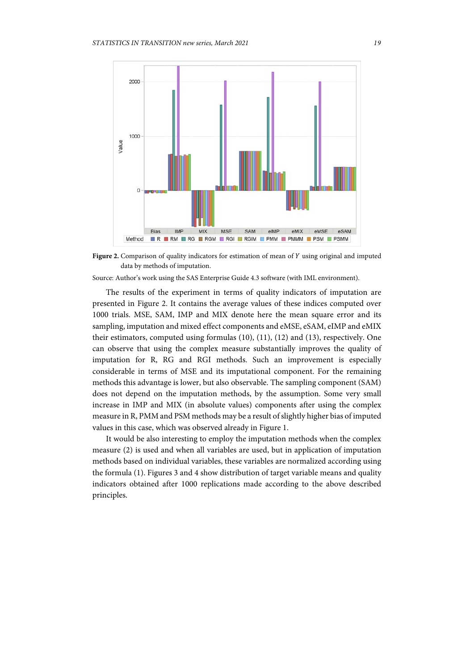

Figure 2. Comparison of quality indicators for estimation of mean of Y using original and imputed data by methods of imputation.

Source: Author's work using the SAS Enterprise Guide 4.3 software (with IML environment).

The results of the experiment in terms of quality indicators of imputation are presented in Figure 2. It contains the average values of these indices computed over 1000 trials. MSE, SAM, IMP and MIX denote here the mean square error and its sampling, imputation and mixed effect components and eMSE, eSAM, eIMP and eMIX their estimators, computed using formulas (10), (11), (12) and (13), respectively. One can observe that using the complex measure substantially improves the quality of imputation for R, RG and RGI methods. Such an improvement is especially considerable in terms of MSE and its imputational component. For the remaining methods this advantage is lower, but also observable. The sampling component (SAM) does not depend on the imputation methods, by the assumption. Some very small increase in IMP and MIX (in absolute values) components after using the complex measure in R, PMM and PSM methods may be a result of slightly higher bias of imputed values in this case, which was observed already in Figure 1.

It would be also interesting to employ the imputation methods when the complex measure (2) is used and when all variables are used, but in application of imputation methods based on individual variables, these variables are normalized according using the formula (1). Figures 3 and 4 show distribution of target variable means and quality indicators obtained after 1000 replications made according to the above described principles.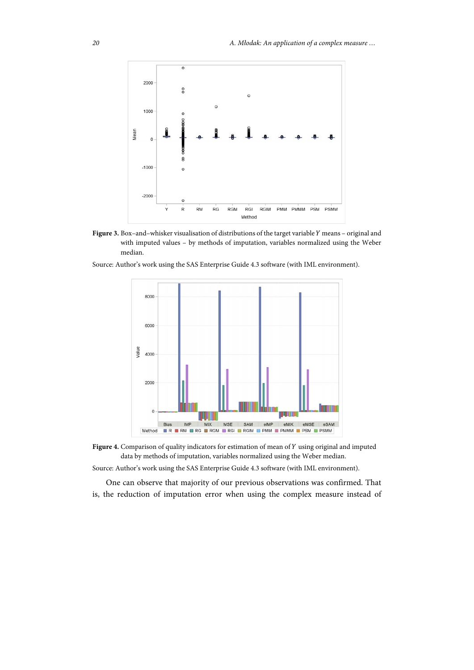

Figure 3. Box-and-whisker visualisation of distributions of the target variable Y means - original and with imputed values – by methods of imputation, variables normalized using the Weber median.

Source: Author's work using the SAS Enterprise Guide 4.3 software (with IML environment).



Figure 4. Comparison of quality indicators for estimation of mean of Y using original and imputed data by methods of imputation, variables normalized using the Weber median.

Source: Author's work using the SAS Enterprise Guide 4.3 software (with IML environment).

One can observe that majority of our previous observations was confirmed. That is, the reduction of imputation error when using the complex measure instead of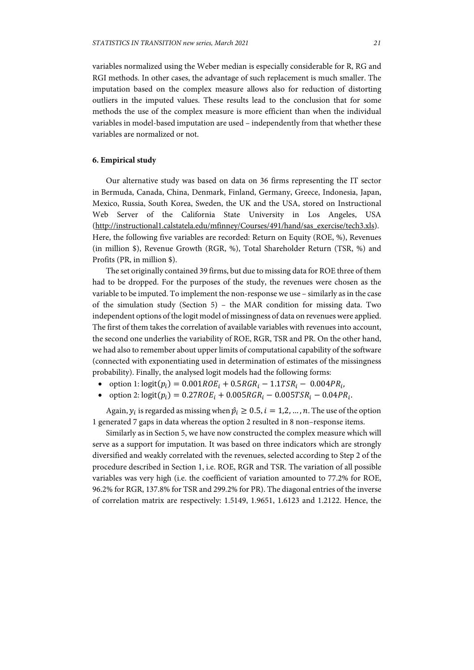variables normalized using the Weber median is especially considerable for R, RG and RGI methods. In other cases, the advantage of such replacement is much smaller. The imputation based on the complex measure allows also for reduction of distorting outliers in the imputed values. These results lead to the conclusion that for some methods the use of the complex measure is more efficient than when the individual variables in model-based imputation are used – independently from that whether these variables are normalized or not.

## **6. Empirical study**

Our alternative study was based on data on 36 firms representing the IT sector in Bermuda, Canada, China, Denmark, Finland, Germany, Greece, Indonesia, Japan, Mexico, Russia, South Korea, Sweden, the UK and the USA, stored on Instructional Web Server of the California State University in Los Angeles, USA (http://instructional1.calstatela.edu/mfinney/Courses/491/hand/sas\_exercise/tech3.xls). Here, the following five variables are recorded: Return on Equity (ROE, %), Revenues (in million \$), Revenue Growth (RGR, %), Total Shareholder Return (TSR, %) and Profits (PR, in million \$).

The set originally contained 39 firms, but due to missing data for ROE three of them had to be dropped. For the purposes of the study, the revenues were chosen as the variable to be imputed. To implement the non-response we use – similarly as in the case of the simulation study (Section 5) – the MAR condition for missing data. Two independent options of the logit model of missingness of data on revenues were applied. The first of them takes the correlation of available variables with revenues into account, the second one underlies the variability of ROE, RGR, TSR and PR. On the other hand, we had also to remember about upper limits of computational capability of the software (connected with exponentiating used in determination of estimates of the missingness probability). Finally, the analysed logit models had the following forms:

- option 1:  $logit(p_i) = 0.001 ROE_i + 0.5 RGR_i 1.1 TSR_i 0.004 PR_i$ ,
- option 2:  $logit(p_i) = 0.27 ROE_i + 0.005 RGR_i 0.005 TSR_i 0.04 PR_i$ .

Again,  $y_i$  is regarded as missing when  $\hat{p}_i \geq 0.5$ ,  $i = 1, 2, ..., n$ . The use of the option 1 generated 7 gaps in data whereas the option 2 resulted in 8 non–response items.

Similarly as in Section 5, we have now constructed the complex measure which will serve as a support for imputation. It was based on three indicators which are strongly diversified and weakly correlated with the revenues, selected according to Step 2 of the procedure described in Section 1, i.e. ROE, RGR and TSR. The variation of all possible variables was very high (i.e. the coefficient of variation amounted to 77.2% for ROE, 96.2% for RGR, 137.8% for TSR and 299.2% for PR). The diagonal entries of the inverse of correlation matrix are respectively: 1.5149, 1.9651, 1.6123 and 1.2122. Hence, the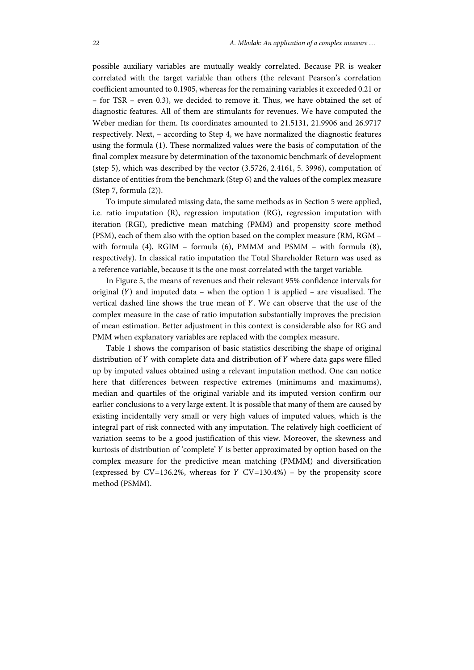possible auxiliary variables are mutually weakly correlated. Because PR is weaker correlated with the target variable than others (the relevant Pearson's correlation coefficient amounted to 0.1905, whereas for the remaining variables it exceeded 0.21 or – for TSR – even 0.3), we decided to remove it. Thus, we have obtained the set of diagnostic features. All of them are stimulants for revenues. We have computed the Weber median for them. Its coordinates amounted to 21.5131, 21.9906 and 26.9717 respectively. Next, – according to Step 4, we have normalized the diagnostic features using the formula (1). These normalized values were the basis of computation of the final complex measure by determination of the taxonomic benchmark of development (step 5), which was described by the vector (3.5726, 2.4161, 5. 3996), computation of distance of entities from the benchmark (Step 6) and the values of the complex measure (Step 7, formula (2)).

To impute simulated missing data, the same methods as in Section 5 were applied, i.e. ratio imputation (R), regression imputation (RG), regression imputation with iteration (RGI), predictive mean matching (PMM) and propensity score method (PSM), each of them also with the option based on the complex measure (RM, RGM – with formula (4), RGIM – formula (6), PMMM and PSMM – with formula (8), respectively). In classical ratio imputation the Total Shareholder Return was used as a reference variable, because it is the one most correlated with the target variable.

In Figure 5, the means of revenues and their relevant 95% confidence intervals for original  $(Y)$  and imputed data – when the option 1 is applied – are visualised. The vertical dashed line shows the true mean of  $Y$ . We can observe that the use of the complex measure in the case of ratio imputation substantially improves the precision of mean estimation. Better adjustment in this context is considerable also for RG and PMM when explanatory variables are replaced with the complex measure.

Table 1 shows the comparison of basic statistics describing the shape of original distribution of  $Y$  with complete data and distribution of  $Y$  where data gaps were filled up by imputed values obtained using a relevant imputation method. One can notice here that differences between respective extremes (minimums and maximums), median and quartiles of the original variable and its imputed version confirm our earlier conclusions to a very large extent. It is possible that many of them are caused by existing incidentally very small or very high values of imputed values, which is the integral part of risk connected with any imputation. The relatively high coefficient of variation seems to be a good justification of this view. Moreover, the skewness and kurtosis of distribution of 'complete' Y is better approximated by option based on the complex measure for the predictive mean matching (PMMM) and diversification (expressed by  $CV=136.2\%$ , whereas for  $Y CV=130.4\%$ ) – by the propensity score method (PSMM).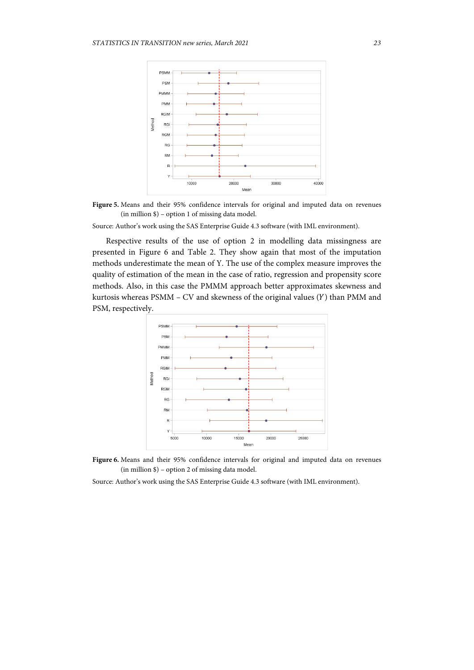

Figure 5. Means and their 95% confidence intervals for original and imputed data on revenues (in million \$) – option 1 of missing data model.

Source: Author's work using the SAS Enterprise Guide 4.3 software (with IML environment).

Respective results of the use of option 2 in modelling data missingness are presented in Figure 6 and Table 2. They show again that most of the imputation methods underestimate the mean of Y. The use of the complex measure improves the quality of estimation of the mean in the case of ratio, regression and propensity score methods. Also, in this case the PMMM approach better approximates skewness and kurtosis whereas  $PSMM - CV$  and skewness of the original values  $(Y)$  than PMM and PSM, respectively.





Source: Author's work using the SAS Enterprise Guide 4.3 software (with IML environment).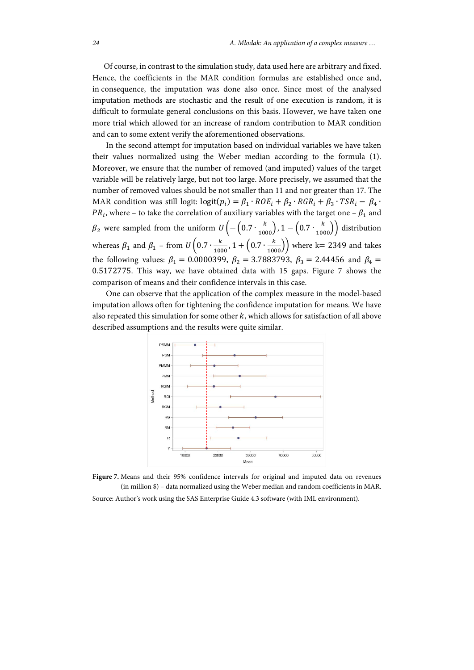Of course, in contrast to the simulation study, data used here are arbitrary and fixed. Hence, the coefficients in the MAR condition formulas are established once and, in consequence, the imputation was done also once. Since most of the analysed imputation methods are stochastic and the result of one execution is random, it is difficult to formulate general conclusions on this basis. However, we have taken one more trial which allowed for an increase of random contribution to MAR condition and can to some extent verify the aforementioned observations.

In the second attempt for imputation based on individual variables we have taken their values normalized using the Weber median according to the formula (1). Moreover, we ensure that the number of removed (and imputed) values of the target variable will be relatively large, but not too large. More precisely, we assumed that the number of removed values should be not smaller than 11 and nor greater than 17. The MAR condition was still logit:  $logit(p_i) = \beta_1 \cdot ROE_i + \beta_2 \cdot RGR_i + \beta_3 \cdot TSR_i - \beta_4 \cdot RGR_i$  $PR_i$ , where – to take the correlation of auxiliary variables with the target one –  $\beta_1$  and  $\beta_2$  were sampled from the uniform  $U\left(-\left(0.7\cdot\frac{k}{1000}\right), 1-\left(0.7\cdot\frac{k}{1000}\right)\right)$  distribution whereas  $\beta_1$  and  $\beta_1$  – from  $U\left(0.7 \cdot \frac{k}{1000}, 1 + \left(0.7 \cdot \frac{k}{1000}\right)\right)$  where k= 2349 and takes the following values:  $\beta_1 = 0.0000399$ ,  $\beta_2 = 3.7883793$ ,  $\beta_3 = 2.44456$  and  $\beta_4 =$ 0.5172775. This way, we have obtained data with 15 gaps. Figure 7 shows the comparison of means and their confidence intervals in this case.

One can observe that the application of the complex measure in the model-based imputation allows often for tightening the confidence imputation for means. We have also repeated this simulation for some other  $k$ , which allows for satisfaction of all above described assumptions and the results were quite similar.



**Figure 7.** Means and their 95% confidence intervals for original and imputed data on revenues (in million \$) – data normalized using the Weber median and random coefficients in MAR. Source: Author's work using the SAS Enterprise Guide 4.3 software (with IML environment).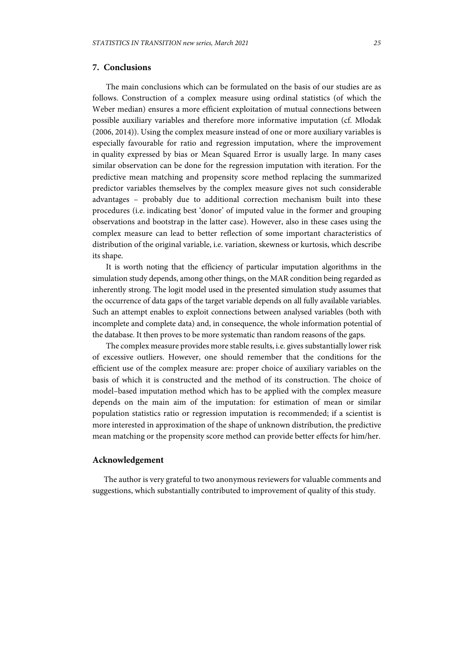# **7. Conclusions**

The main conclusions which can be formulated on the basis of our studies are as follows. Construction of a complex measure using ordinal statistics (of which the Weber median) ensures a more efficient exploitation of mutual connections between possible auxiliary variables and therefore more informative imputation (cf. Młodak (2006, 2014)). Using the complex measure instead of one or more auxiliary variables is especially favourable for ratio and regression imputation, where the improvement in quality expressed by bias or Mean Squared Error is usually large. In many cases similar observation can be done for the regression imputation with iteration. For the predictive mean matching and propensity score method replacing the summarized predictor variables themselves by the complex measure gives not such considerable advantages – probably due to additional correction mechanism built into these procedures (i.e. indicating best 'donor' of imputed value in the former and grouping observations and bootstrap in the latter case). However, also in these cases using the complex measure can lead to better reflection of some important characteristics of distribution of the original variable, i.e. variation, skewness or kurtosis, which describe its shape.

It is worth noting that the efficiency of particular imputation algorithms in the simulation study depends, among other things, on the MAR condition being regarded as inherently strong. The logit model used in the presented simulation study assumes that the occurrence of data gaps of the target variable depends on all fully available variables. Such an attempt enables to exploit connections between analysed variables (both with incomplete and complete data) and, in consequence, the whole information potential of the database. It then proves to be more systematic than random reasons of the gaps.

The complex measure provides more stable results, i.e. gives substantially lower risk of excessive outliers. However, one should remember that the conditions for the efficient use of the complex measure are: proper choice of auxiliary variables on the basis of which it is constructed and the method of its construction. The choice of model–based imputation method which has to be applied with the complex measure depends on the main aim of the imputation: for estimation of mean or similar population statistics ratio or regression imputation is recommended; if a scientist is more interested in approximation of the shape of unknown distribution, the predictive mean matching or the propensity score method can provide better effects for him/her.

## **Acknowledgement**

The author is very grateful to two anonymous reviewers for valuable comments and suggestions, which substantially contributed to improvement of quality of this study.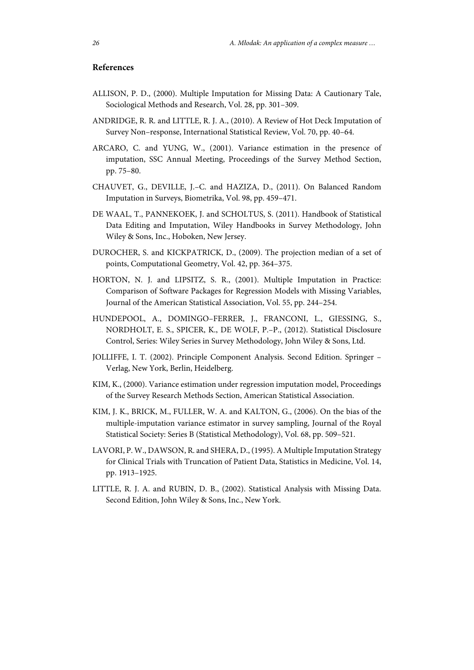# **References**

- ALLISON, P. D., (2000). Multiple Imputation for Missing Data: A Cautionary Tale, Sociological Methods and Research, Vol. 28, pp. 301–309.
- ANDRIDGE, R. R. and LITTLE, R. J. A., (2010). A Review of Hot Deck Imputation of Survey Non–response, International Statistical Review, Vol. 70, pp. 40–64.
- ARCARO, C. and YUNG, W., (2001). Variance estimation in the presence of imputation, SSC Annual Meeting, Proceedings of the Survey Method Section, pp. 75–80.
- CHAUVET, G., DEVILLE, J.–C. and HAZIZA, D., (2011). On Balanced Random Imputation in Surveys, Biometrika, Vol. 98, pp. 459–471.
- DE WAAL, T., PANNEKOEK, J. and SCHOLTUS, S. (2011). Handbook of Statistical Data Editing and Imputation, Wiley Handbooks in Survey Methodology, John Wiley & Sons, Inc., Hoboken, New Jersey.
- DUROCHER, S. and KICKPATRICK, D., (2009). The projection median of a set of points, Computational Geometry, Vol. 42, pp. 364–375.
- HORTON, N. J. and LIPSITZ, S. R., (2001). Multiple Imputation in Practice: Comparison of Software Packages for Regression Models with Missing Variables, Journal of the American Statistical Association, Vol. 55, pp. 244–254.
- HUNDEPOOL, A., DOMINGO–FERRER, J., FRANCONI, L., GIESSING, S., NORDHOLT, E. S., SPICER, K., DE WOLF, P.–P., (2012). Statistical Disclosure Control, Series: Wiley Series in Survey Methodology, John Wiley & Sons, Ltd.
- JOLLIFFE, I. T. (2002). Principle Component Analysis. Second Edition. Springer Verlag, New York, Berlin, Heidelberg.
- KIM, K., (2000). Variance estimation under regression imputation model, Proceedings of the Survey Research Methods Section, American Statistical Association.
- KIM, J. K., BRICK, M., FULLER, W. A. and KALTON, G., (2006). On the bias of the multiple-imputation variance estimator in survey sampling, Journal of the Royal Statistical Society: Series B (Statistical Methodology), Vol. 68, pp. 509–521.
- LAVORI, P. W., DAWSON, R. and SHERA, D., (1995). A Multiple Imputation Strategy for Clinical Trials with Truncation of Patient Data, Statistics in Medicine, Vol. 14, pp. 1913–1925.
- LITTLE, R. J. A. and RUBIN, D. B., (2002). Statistical Analysis with Missing Data. Second Edition, John Wiley & Sons, Inc., New York.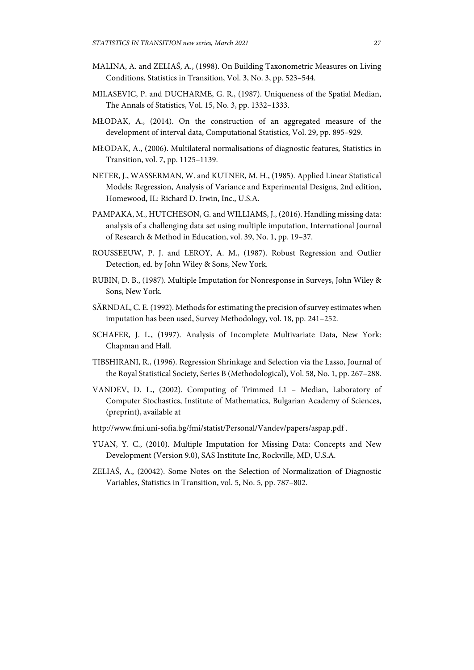- MALINA, A. and ZELIAŚ, A., (1998). On Building Taxonometric Measures on Living Conditions, Statistics in Transition, Vol. 3, No. 3, pp. 523–544.
- MILASEVIC, P. and DUCHARME, G. R., (1987). Uniqueness of the Spatial Median, The Annals of Statistics, Vol. 15, No. 3, pp. 1332–1333.
- MŁODAK, A., (2014). On the construction of an aggregated measure of the development of interval data, Computational Statistics, Vol. 29, pp. 895–929.
- MŁODAK, A., (2006). Multilateral normalisations of diagnostic features, Statistics in Transition, vol. 7, pp. 1125–1139.
- NETER, J., WASSERMAN, W. and KUTNER, M. H., (1985). Applied Linear Statistical Models: Regression, Analysis of Variance and Experimental Designs, 2nd edition, Homewood, IL: Richard D. Irwin, Inc., U.S.A.
- PAMPAKA, M., HUTCHESON, G. and WILLIAMS, J., (2016). Handling missing data: analysis of a challenging data set using multiple imputation, International Journal of Research & Method in Education, vol. 39, No. 1, pp. 19–37.
- ROUSSEEUW, P. J. and LEROY, A. M., (1987). Robust Regression and Outlier Detection, ed. by John Wiley & Sons, New York.
- RUBIN, D. B., (1987). Multiple Imputation for Nonresponse in Surveys, John Wiley & Sons, New York.
- SÄRNDAL, C. E. (1992). Methods for estimating the precision of survey estimates when imputation has been used, Survey Methodology, vol. 18, pp. 241–252.
- SCHAFER, J. L., (1997). Analysis of Incomplete Multivariate Data, New York: Chapman and Hall.
- TIBSHIRANI, R., (1996). Regression Shrinkage and Selection via the Lasso, Journal of the Royal Statistical Society, Series B (Methodological), Vol. 58, No. 1, pp. 267–288.
- VANDEV, D. L., (2002). Computing of Trimmed L1 Median, Laboratory of Computer Stochastics, Institute of Mathematics, Bulgarian Academy of Sciences, (preprint), available at
- http://www.fmi.uni-sofia.bg/fmi/statist/Personal/Vandev/papers/aspap.pdf .
- YUAN, Y. C., (2010). Multiple Imputation for Missing Data: Concepts and New Development (Version 9.0), SAS Institute Inc, Rockville, MD, U.S.A.
- ZELIAŚ, A., (20042). Some Notes on the Selection of Normalization of Diagnostic Variables, Statistics in Transition, vol. 5, No. 5, pp. 787–802.